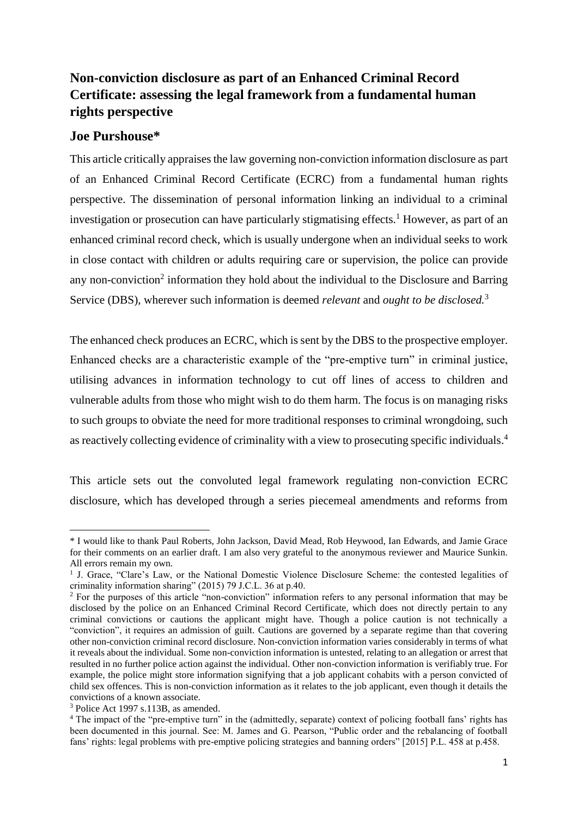# **Non-conviction disclosure as part of an Enhanced Criminal Record Certificate: assessing the legal framework from a fundamental human rights perspective**

## **Joe Purshouse\***

This article critically appraises the law governing non-conviction information disclosure as part of an Enhanced Criminal Record Certificate (ECRC) from a fundamental human rights perspective. The dissemination of personal information linking an individual to a criminal investigation or prosecution can have particularly stigmatising effects.<sup>1</sup> However, as part of an enhanced criminal record check, which is usually undergone when an individual seeks to work in close contact with children or adults requiring care or supervision, the police can provide any non-conviction<sup>2</sup> information they hold about the individual to the Disclosure and Barring Service (DBS), wherever such information is deemed *relevant* and *ought to be disclosed.* 3

The enhanced check produces an ECRC, which is sent by the DBS to the prospective employer. Enhanced checks are a characteristic example of the "pre-emptive turn" in criminal justice, utilising advances in information technology to cut off lines of access to children and vulnerable adults from those who might wish to do them harm. The focus is on managing risks to such groups to obviate the need for more traditional responses to criminal wrongdoing, such as reactively collecting evidence of criminality with a view to prosecuting specific individuals. 4

This article sets out the convoluted legal framework regulating non-conviction ECRC disclosure, which has developed through a series piecemeal amendments and reforms from

<sup>\*</sup> I would like to thank Paul Roberts, John Jackson, David Mead, Rob Heywood, Ian Edwards, and Jamie Grace for their comments on an earlier draft. I am also very grateful to the anonymous reviewer and Maurice Sunkin. All errors remain my own.

<sup>&</sup>lt;sup>1</sup> J. Grace, "Clare's Law, or the National Domestic Violence Disclosure Scheme: the contested legalities of criminality information sharing" (2015) 79 J.C.L. 36 at p.40.

<sup>&</sup>lt;sup>2</sup> For the purposes of this article "non-conviction" information refers to any personal information that may be disclosed by the police on an Enhanced Criminal Record Certificate, which does not directly pertain to any criminal convictions or cautions the applicant might have. Though a police caution is not technically a "conviction", it requires an admission of guilt. Cautions are governed by a separate regime than that covering other non-conviction criminal record disclosure. Non-conviction information varies considerably in terms of what it reveals about the individual. Some non-conviction information is untested, relating to an allegation or arrest that resulted in no further police action against the individual. Other non-conviction information is verifiably true. For example, the police might store information signifying that a job applicant cohabits with a person convicted of child sex offences. This is non-conviction information as it relates to the job applicant, even though it details the convictions of a known associate.

<sup>3</sup> Police Act 1997 s.113B, as amended.

<sup>&</sup>lt;sup>4</sup> The impact of the "pre-emptive turn" in the (admittedly, separate) context of policing football fans' rights has been documented in this journal. See: M. James and G. Pearson, "Public order and the rebalancing of football fans' rights: legal problems with pre-emptive policing strategies and banning orders" [2015] P.L. 458 at p.458.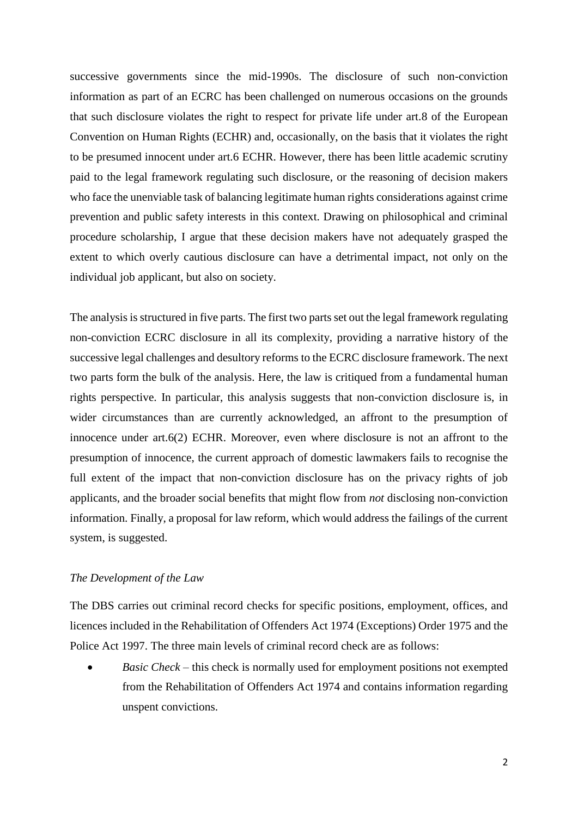successive governments since the mid-1990s. The disclosure of such non-conviction information as part of an ECRC has been challenged on numerous occasions on the grounds that such disclosure violates the right to respect for private life under art.8 of the European Convention on Human Rights (ECHR) and, occasionally, on the basis that it violates the right to be presumed innocent under art.6 ECHR. However, there has been little academic scrutiny paid to the legal framework regulating such disclosure, or the reasoning of decision makers who face the unenviable task of balancing legitimate human rights considerations against crime prevention and public safety interests in this context. Drawing on philosophical and criminal procedure scholarship, I argue that these decision makers have not adequately grasped the extent to which overly cautious disclosure can have a detrimental impact, not only on the individual job applicant, but also on society.

The analysis is structured in five parts. The first two parts set out the legal framework regulating non-conviction ECRC disclosure in all its complexity, providing a narrative history of the successive legal challenges and desultory reforms to the ECRC disclosure framework. The next two parts form the bulk of the analysis. Here, the law is critiqued from a fundamental human rights perspective. In particular, this analysis suggests that non-conviction disclosure is, in wider circumstances than are currently acknowledged, an affront to the presumption of innocence under art.6(2) ECHR. Moreover, even where disclosure is not an affront to the presumption of innocence, the current approach of domestic lawmakers fails to recognise the full extent of the impact that non-conviction disclosure has on the privacy rights of job applicants, and the broader social benefits that might flow from *not* disclosing non-conviction information. Finally, a proposal for law reform, which would address the failings of the current system, is suggested.

### *The Development of the Law*

The DBS carries out criminal record checks for specific positions, employment, offices, and licences included in the Rehabilitation of Offenders Act 1974 (Exceptions) Order 1975 and the Police Act 1997. The three main levels of criminal record check are as follows:

*Basic Check* – this check is normally used for employment positions not exempted from the Rehabilitation of Offenders Act 1974 and contains information regarding unspent convictions.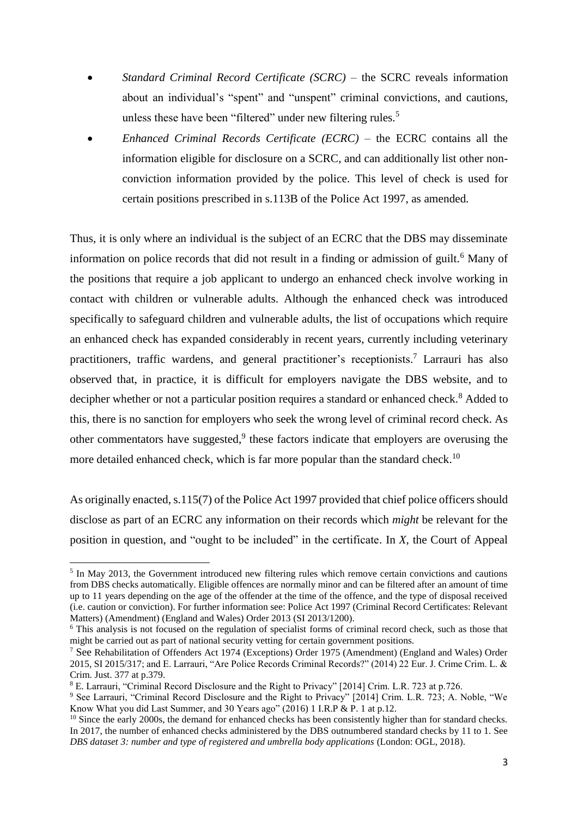- *Standard Criminal Record Certificate (SCRC)* the SCRC reveals information about an individual's "spent" and "unspent" criminal convictions, and cautions, unless these have been "filtered" under new filtering rules.<sup>5</sup>
- *Enhanced Criminal Records Certificate (ECRC)*  the ECRC contains all the information eligible for disclosure on a SCRC, and can additionally list other nonconviction information provided by the police. This level of check is used for certain positions prescribed in s.113B of the Police Act 1997, as amended*.*

Thus, it is only where an individual is the subject of an ECRC that the DBS may disseminate information on police records that did not result in a finding or admission of guilt.<sup>6</sup> Many of the positions that require a job applicant to undergo an enhanced check involve working in contact with children or vulnerable adults. Although the enhanced check was introduced specifically to safeguard children and vulnerable adults, the list of occupations which require an enhanced check has expanded considerably in recent years, currently including veterinary practitioners, traffic wardens, and general practitioner's receptionists. <sup>7</sup> Larrauri has also observed that, in practice, it is difficult for employers navigate the DBS website, and to decipher whether or not a particular position requires a standard or enhanced check.<sup>8</sup> Added to this, there is no sanction for employers who seek the wrong level of criminal record check. As other commentators have suggested,<sup>9</sup> these factors indicate that employers are overusing the more detailed enhanced check, which is far more popular than the standard check.<sup>10</sup>

As originally enacted, s.115(7) of the Police Act 1997 provided that chief police officers should disclose as part of an ECRC any information on their records which *might* be relevant for the position in question, and "ought to be included" in the certificate. In *X*, the Court of Appeal

<sup>&</sup>lt;sup>5</sup> In May 2013, the Government introduced new filtering rules which remove certain convictions and cautions from DBS checks automatically. Eligible offences are normally minor and can be filtered after an amount of time up to 11 years depending on the age of the offender at the time of the offence, and the type of disposal received (i.e. caution or conviction). For further information see: Police Act 1997 (Criminal Record Certificates: Relevant Matters) (Amendment) (England and Wales) Order 2013 (SI 2013/1200).

<sup>6</sup> This analysis is not focused on the regulation of specialist forms of criminal record check, such as those that might be carried out as part of national security vetting for certain government positions.

<sup>7</sup> See Rehabilitation of Offenders Act 1974 (Exceptions) Order 1975 (Amendment) (England and Wales) Order 2015, SI 2015/317; and E. Larrauri, "Are Police Records Criminal Records?" (2014) 22 Eur. J. Crime Crim. L. & Crim. Just. 377 at p.379.

<sup>8</sup> E. Larrauri, "Criminal Record Disclosure and the Right to Privacy" [2014] Crim. L.R. 723 at p.726.

<sup>9</sup> See Larrauri, "Criminal Record Disclosure and the Right to Privacy" [2014] Crim. L.R. 723; A. Noble, "We Know What you did Last Summer, and 30 Years ago" (2016) 1 I.R.P & P. 1 at p.12.

<sup>&</sup>lt;sup>10</sup> Since the early 2000s, the demand for enhanced checks has been consistently higher than for standard checks. In 2017, the number of enhanced checks administered by the DBS outnumbered standard checks by 11 to 1. See *DBS dataset 3: number and type of registered and umbrella body applications* (London: OGL, 2018).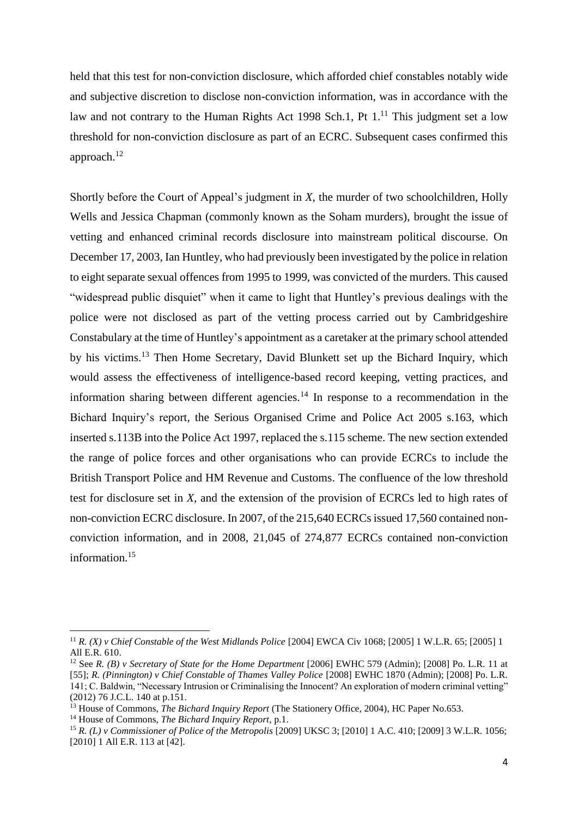held that this test for non-conviction disclosure, which afforded chief constables notably wide and subjective discretion to disclose non-conviction information, was in accordance with the law and not contrary to the Human Rights Act 1998 Sch.1, Pt  $1<sup>11</sup>$  This judgment set a low threshold for non-conviction disclosure as part of an ECRC. Subsequent cases confirmed this approach.<sup>12</sup>

Shortly before the Court of Appeal's judgment in *X*, the murder of two schoolchildren, Holly Wells and Jessica Chapman (commonly known as the Soham murders), brought the issue of vetting and enhanced criminal records disclosure into mainstream political discourse. On December 17, 2003, Ian Huntley, who had previously been investigated by the police in relation to eight separate sexual offences from 1995 to 1999, was convicted of the murders. This caused "widespread public disquiet" when it came to light that Huntley's previous dealings with the police were not disclosed as part of the vetting process carried out by Cambridgeshire Constabulary at the time of Huntley's appointment as a caretaker at the primary school attended by his victims.<sup>13</sup> Then Home Secretary, David Blunkett set up the Bichard Inquiry, which would assess the effectiveness of intelligence-based record keeping, vetting practices, and information sharing between different agencies.<sup>14</sup> In response to a recommendation in the Bichard Inquiry's report, the Serious Organised Crime and Police Act 2005 s.163, which inserted s.113B into the Police Act 1997, replaced the s.115 scheme. The new section extended the range of police forces and other organisations who can provide ECRCs to include the British Transport Police and HM Revenue and Customs. The confluence of the low threshold test for disclosure set in *X*, and the extension of the provision of ECRCs led to high rates of non-conviction ECRC disclosure. In 2007, of the 215,640 ECRCs issued 17,560 contained nonconviction information, and in 2008, 21,045 of 274,877 ECRCs contained non-conviction information.<sup>15</sup>

<sup>11</sup> *R. (X) v Chief Constable of the West Midlands Police* [2004] EWCA Civ 1068; [2005] 1 W.L.R. 65; [2005] 1 All E.R. 610.

<sup>12</sup> See *R. (B) v Secretary of State for the Home Department* [2006] EWHC 579 (Admin); [2008] Po. L.R. 11 at [55]; *R. (Pinnington) v Chief Constable of Thames Valley Police* [2008] EWHC 1870 (Admin); [2008] Po. L.R. 141; C. Baldwin, "Necessary Intrusion or Criminalising the Innocent? An exploration of modern criminal vetting" (2012) 76 J.C.L. 140 at p.151.

<sup>&</sup>lt;sup>13</sup> House of Commons, *The Bichard Inquiry Report* (The Stationery Office, 2004), HC Paper No.653.

<sup>14</sup> House of Commons, *The Bichard Inquiry Report*, p.1.

<sup>15</sup> *R. (L) v Commissioner of Police of the Metropolis* [2009] UKSC 3; [2010] 1 A.C. 410; [2009] 3 W.L.R. 1056; [2010] 1 All E.R. 113 at [42].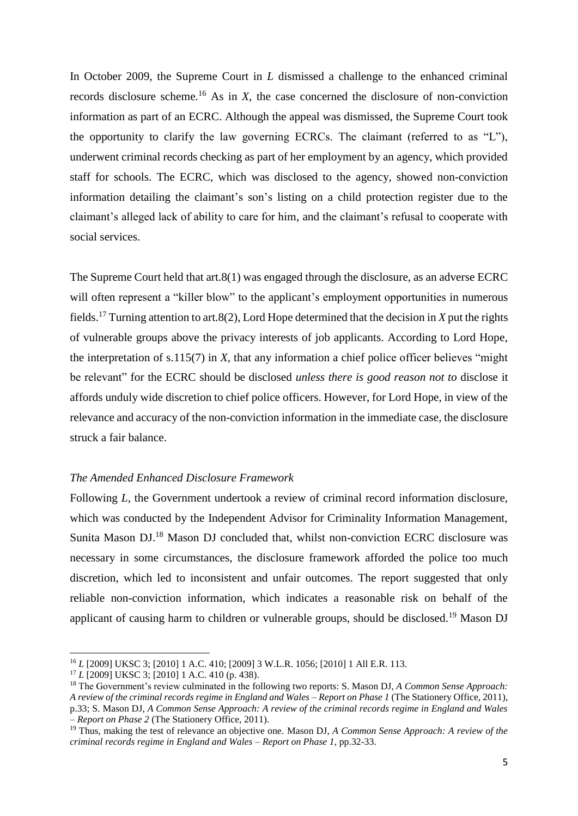In October 2009, the Supreme Court in *L* dismissed a challenge to the enhanced criminal records disclosure scheme*.* <sup>16</sup> As in *X*, the case concerned the disclosure of non-conviction information as part of an ECRC. Although the appeal was dismissed, the Supreme Court took the opportunity to clarify the law governing ECRCs. The claimant (referred to as "L"), underwent criminal records checking as part of her employment by an agency, which provided staff for schools. The ECRC, which was disclosed to the agency, showed non-conviction information detailing the claimant's son's listing on a child protection register due to the claimant's alleged lack of ability to care for him, and the claimant's refusal to cooperate with social services.

The Supreme Court held that art.8(1) was engaged through the disclosure, as an adverse ECRC will often represent a "killer blow" to the applicant's employment opportunities in numerous fields. <sup>17</sup> Turning attention to art.8(2), Lord Hope determined that the decision in *X* put the rights of vulnerable groups above the privacy interests of job applicants. According to Lord Hope, the interpretation of s.115(7) in *X,* that any information a chief police officer believes "might be relevant" for the ECRC should be disclosed *unless there is good reason not to* disclose it affords unduly wide discretion to chief police officers. However, for Lord Hope, in view of the relevance and accuracy of the non-conviction information in the immediate case, the disclosure struck a fair balance.

#### *The Amended Enhanced Disclosure Framework*

Following *L*, the Government undertook a review of criminal record information disclosure, which was conducted by the Independent Advisor for Criminality Information Management, Sunita Mason DJ. <sup>18</sup> Mason DJ concluded that, whilst non-conviction ECRC disclosure was necessary in some circumstances, the disclosure framework afforded the police too much discretion, which led to inconsistent and unfair outcomes. The report suggested that only reliable non-conviction information, which indicates a reasonable risk on behalf of the applicant of causing harm to children or vulnerable groups, should be disclosed.<sup>19</sup> Mason DJ

<sup>16</sup> *L* [2009] UKSC 3; [2010] 1 A.C. 410; [2009] 3 W.L.R. 1056; [2010] 1 All E.R. 113.

<sup>17</sup> *L* [2009] UKSC 3; [2010] 1 A.C. 410 (p. 438).

<sup>18</sup> The Government's review culminated in the following two reports: S. Mason DJ, *A Common Sense Approach: A review of the criminal records regime in England and Wales – Report on Phase 1* (The Stationery Office, 2011), p.33; S. Mason DJ, *A Common Sense Approach: A review of the criminal records regime in England and Wales – Report on Phase 2* (The Stationery Office, 2011).

<sup>19</sup> Thus, making the test of relevance an objective one. Mason DJ, *A Common Sense Approach: A review of the criminal records regime in England and Wales – Report on Phase 1*, pp.32-33.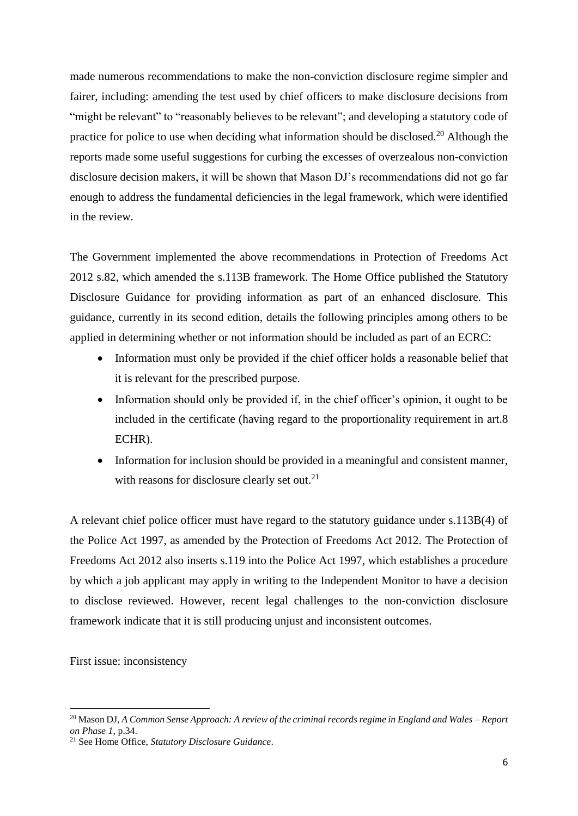made numerous recommendations to make the non-conviction disclosure regime simpler and fairer, including: amending the test used by chief officers to make disclosure decisions from "might be relevant" to "reasonably believes to be relevant"; and developing a statutory code of practice for police to use when deciding what information should be disclosed.<sup>20</sup> Although the reports made some useful suggestions for curbing the excesses of overzealous non-conviction disclosure decision makers, it will be shown that Mason DJ's recommendations did not go far enough to address the fundamental deficiencies in the legal framework, which were identified in the review.

The Government implemented the above recommendations in Protection of Freedoms Act 2012 s.82, which amended the s.113B framework. The Home Office published the Statutory Disclosure Guidance for providing information as part of an enhanced disclosure. This guidance, currently in its second edition, details the following principles among others to be applied in determining whether or not information should be included as part of an ECRC:

- Information must only be provided if the chief officer holds a reasonable belief that it is relevant for the prescribed purpose.
- Information should only be provided if, in the chief officer's opinion, it ought to be included in the certificate (having regard to the proportionality requirement in art.8 ECHR).
- Information for inclusion should be provided in a meaningful and consistent manner, with reasons for disclosure clearly set out.<sup>21</sup>

A relevant chief police officer must have regard to the statutory guidance under s.113B(4) of the Police Act 1997, as amended by the Protection of Freedoms Act 2012. The Protection of Freedoms Act 2012 also inserts s.119 into the Police Act 1997, which establishes a procedure by which a job applicant may apply in writing to the Independent Monitor to have a decision to disclose reviewed. However, recent legal challenges to the non-conviction disclosure framework indicate that it is still producing unjust and inconsistent outcomes.

First issue: inconsistency

<sup>20</sup> Mason DJ, *A Common Sense Approach: A review of the criminal records regime in England and Wales – Report on Phase 1*, p.34.

<sup>21</sup> See Home Office, *Statutory Disclosure Guidance*.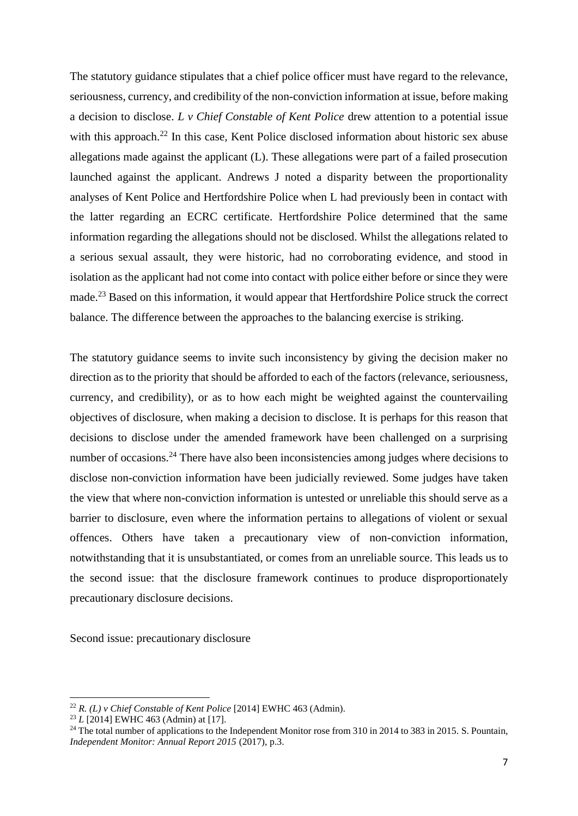The statutory guidance stipulates that a chief police officer must have regard to the relevance, seriousness, currency, and credibility of the non-conviction information at issue, before making a decision to disclose. *L v Chief Constable of Kent Police* drew attention to a potential issue with this approach.<sup>22</sup> In this case, Kent Police disclosed information about historic sex abuse allegations made against the applicant (L). These allegations were part of a failed prosecution launched against the applicant. Andrews J noted a disparity between the proportionality analyses of Kent Police and Hertfordshire Police when L had previously been in contact with the latter regarding an ECRC certificate. Hertfordshire Police determined that the same information regarding the allegations should not be disclosed. Whilst the allegations related to a serious sexual assault, they were historic, had no corroborating evidence, and stood in isolation as the applicant had not come into contact with police either before or since they were made.<sup>23</sup> Based on this information, it would appear that Hertfordshire Police struck the correct balance. The difference between the approaches to the balancing exercise is striking.

The statutory guidance seems to invite such inconsistency by giving the decision maker no direction as to the priority that should be afforded to each of the factors (relevance, seriousness, currency, and credibility), or as to how each might be weighted against the countervailing objectives of disclosure, when making a decision to disclose. It is perhaps for this reason that decisions to disclose under the amended framework have been challenged on a surprising number of occasions.<sup>24</sup> There have also been inconsistencies among judges where decisions to disclose non-conviction information have been judicially reviewed. Some judges have taken the view that where non-conviction information is untested or unreliable this should serve as a barrier to disclosure, even where the information pertains to allegations of violent or sexual offences. Others have taken a precautionary view of non-conviction information, notwithstanding that it is unsubstantiated, or comes from an unreliable source. This leads us to the second issue: that the disclosure framework continues to produce disproportionately precautionary disclosure decisions.

Second issue: precautionary disclosure

<sup>22</sup> *R. (L) v Chief Constable of Kent Police* [2014] EWHC 463 (Admin).

<sup>23</sup> *L* [2014] EWHC 463 (Admin) at [17].

<sup>&</sup>lt;sup>24</sup> The total number of applications to the Independent Monitor rose from 310 in 2014 to 383 in 2015. S. Pountain, *Independent Monitor: Annual Report 2015* (2017), p.3.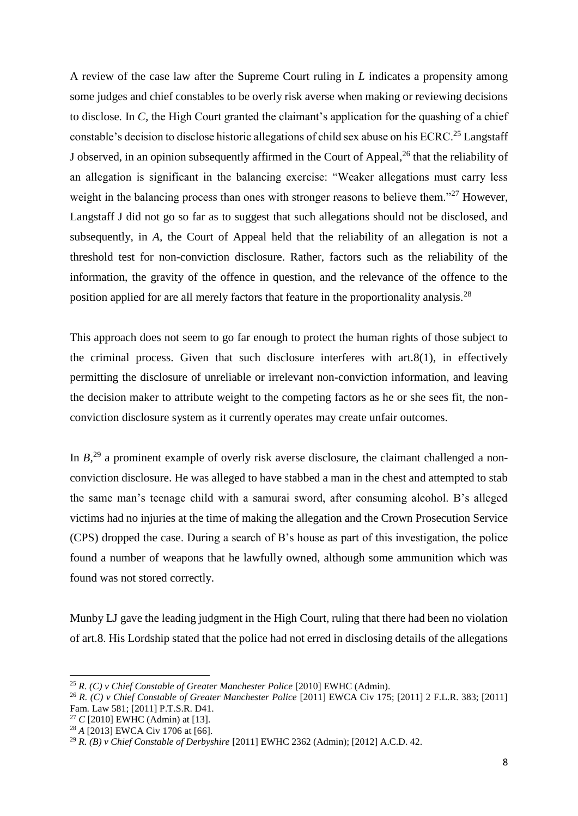A review of the case law after the Supreme Court ruling in *L* indicates a propensity among some judges and chief constables to be overly risk averse when making or reviewing decisions to disclose*.* In *C,* the High Court granted the claimant's application for the quashing of a chief constable's decision to disclose historic allegations of child sex abuse on his ECRC.<sup>25</sup> Langstaff J observed, in an opinion subsequently affirmed in the Court of Appeal, <sup>26</sup> that the reliability of an allegation is significant in the balancing exercise: "Weaker allegations must carry less weight in the balancing process than ones with stronger reasons to believe them."<sup>27</sup> However, Langstaff J did not go so far as to suggest that such allegations should not be disclosed, and subsequently, in *A,* the Court of Appeal held that the reliability of an allegation is not a threshold test for non-conviction disclosure. Rather, factors such as the reliability of the information, the gravity of the offence in question, and the relevance of the offence to the position applied for are all merely factors that feature in the proportionality analysis.<sup>28</sup>

This approach does not seem to go far enough to protect the human rights of those subject to the criminal process. Given that such disclosure interferes with art.8(1), in effectively permitting the disclosure of unreliable or irrelevant non-conviction information, and leaving the decision maker to attribute weight to the competing factors as he or she sees fit, the nonconviction disclosure system as it currently operates may create unfair outcomes.

In  $B<sub>1</sub><sup>29</sup>$  a prominent example of overly risk averse disclosure, the claimant challenged a nonconviction disclosure. He was alleged to have stabbed a man in the chest and attempted to stab the same man's teenage child with a samurai sword, after consuming alcohol. B's alleged victims had no injuries at the time of making the allegation and the Crown Prosecution Service (CPS) dropped the case. During a search of B's house as part of this investigation, the police found a number of weapons that he lawfully owned, although some ammunition which was found was not stored correctly.

Munby LJ gave the leading judgment in the High Court, ruling that there had been no violation of art.8. His Lordship stated that the police had not erred in disclosing details of the allegations

 $\overline{\phantom{a}}$ 

<sup>25</sup> *R. (C) v Chief Constable of Greater Manchester Police* [2010] EWHC (Admin).

<sup>26</sup> *R. (C) v Chief Constable of Greater Manchester Police* [2011] EWCA Civ 175; [2011] 2 F.L.R. 383; [2011] Fam. Law 581; [2011] P.T.S.R. D41.

<sup>27</sup> *C* [2010] EWHC (Admin) at [13].

<sup>28</sup> *A* [2013] EWCA Civ 1706 at [66].

<sup>29</sup> *R. (B) v Chief Constable of Derbyshire* [2011] EWHC 2362 (Admin); [2012] A.C.D. 42.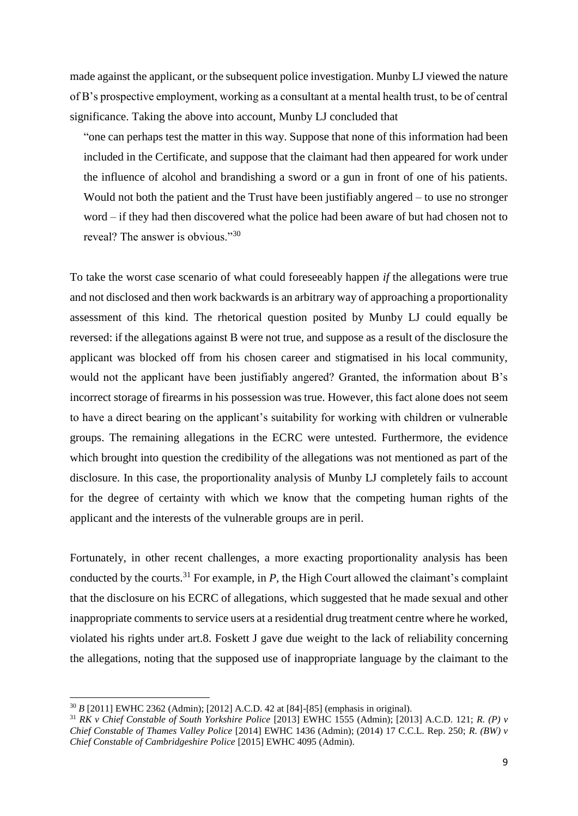made against the applicant, or the subsequent police investigation. Munby LJ viewed the nature of B's prospective employment, working as a consultant at a mental health trust, to be of central significance. Taking the above into account, Munby LJ concluded that

"one can perhaps test the matter in this way. Suppose that none of this information had been included in the Certificate, and suppose that the claimant had then appeared for work under the influence of alcohol and brandishing a sword or a gun in front of one of his patients. Would not both the patient and the Trust have been justifiably angered – to use no stronger word – if they had then discovered what the police had been aware of but had chosen not to reveal? The answer is obvious."30

To take the worst case scenario of what could foreseeably happen *if* the allegations were true and not disclosed and then work backwards is an arbitrary way of approaching a proportionality assessment of this kind. The rhetorical question posited by Munby LJ could equally be reversed: if the allegations against B were not true, and suppose as a result of the disclosure the applicant was blocked off from his chosen career and stigmatised in his local community, would not the applicant have been justifiably angered? Granted, the information about B's incorrect storage of firearms in his possession was true. However, this fact alone does not seem to have a direct bearing on the applicant's suitability for working with children or vulnerable groups. The remaining allegations in the ECRC were untested. Furthermore, the evidence which brought into question the credibility of the allegations was not mentioned as part of the disclosure. In this case, the proportionality analysis of Munby LJ completely fails to account for the degree of certainty with which we know that the competing human rights of the applicant and the interests of the vulnerable groups are in peril.

Fortunately, in other recent challenges, a more exacting proportionality analysis has been conducted by the courts.<sup>31</sup> For example, in *P,* the High Court allowed the claimant's complaint that the disclosure on his ECRC of allegations, which suggested that he made sexual and other inappropriate comments to service users at a residential drug treatment centre where he worked, violated his rights under art.8. Foskett J gave due weight to the lack of reliability concerning the allegations, noting that the supposed use of inappropriate language by the claimant to the

<sup>30</sup> *B* [2011] EWHC 2362 (Admin); [2012] A.C.D. 42 at [84]-[85] (emphasis in original).

<sup>31</sup> *RK v Chief Constable of South Yorkshire Police* [2013] EWHC 1555 (Admin); [2013] A.C.D. 121; *R. (P) v Chief Constable of Thames Valley Police* [2014] EWHC 1436 (Admin); (2014) 17 C.C.L. Rep. 250; *R. (BW) v Chief Constable of Cambridgeshire Police* [2015] EWHC 4095 (Admin).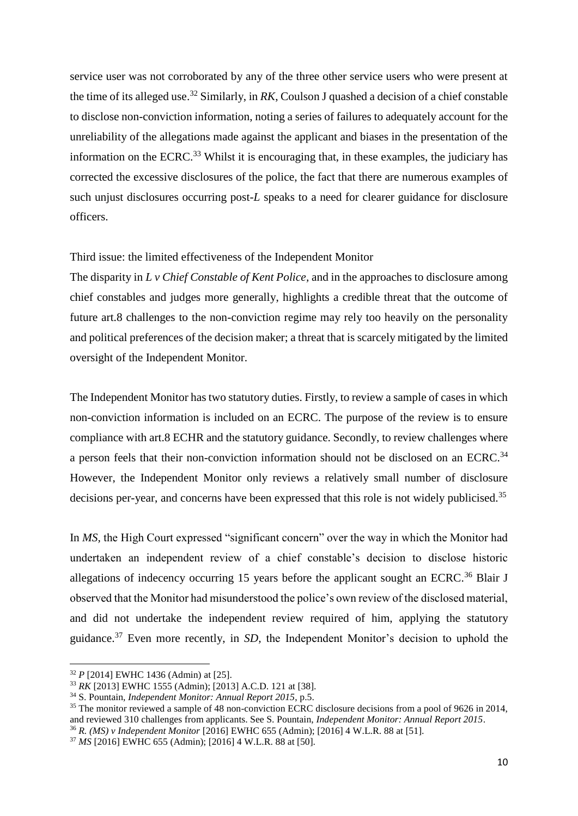service user was not corroborated by any of the three other service users who were present at the time of its alleged use. <sup>32</sup> Similarly, in *RK*, Coulson J quashed a decision of a chief constable to disclose non-conviction information, noting a series of failures to adequately account for the unreliability of the allegations made against the applicant and biases in the presentation of the information on the ECRC.<sup>33</sup> Whilst it is encouraging that, in these examples, the judiciary has corrected the excessive disclosures of the police, the fact that there are numerous examples of such unjust disclosures occurring post-*L* speaks to a need for clearer guidance for disclosure officers.

#### Third issue: the limited effectiveness of the Independent Monitor

The disparity in *L v Chief Constable of Kent Police,* and in the approaches to disclosure among chief constables and judges more generally, highlights a credible threat that the outcome of future art.8 challenges to the non-conviction regime may rely too heavily on the personality and political preferences of the decision maker; a threat that is scarcely mitigated by the limited oversight of the Independent Monitor.

The Independent Monitor has two statutory duties. Firstly, to review a sample of cases in which non-conviction information is included on an ECRC. The purpose of the review is to ensure compliance with art.8 ECHR and the statutory guidance. Secondly, to review challenges where a person feels that their non-conviction information should not be disclosed on an ECRC.<sup>34</sup> However, the Independent Monitor only reviews a relatively small number of disclosure decisions per-year, and concerns have been expressed that this role is not widely publicised.<sup>35</sup>

In *MS*, the High Court expressed "significant concern" over the way in which the Monitor had undertaken an independent review of a chief constable's decision to disclose historic allegations of indecency occurring 15 years before the applicant sought an ECRC.<sup>36</sup> Blair J observed that the Monitor had misunderstood the police's own review of the disclosed material, and did not undertake the independent review required of him, applying the statutory guidance.<sup>37</sup> Even more recently, in *SD,* the Independent Monitor's decision to uphold the

<sup>32</sup> *P* [2014] EWHC 1436 (Admin) at [25].

<sup>33</sup> *RK* [2013] EWHC 1555 (Admin); [2013] A.C.D. 121 at [38].

<sup>34</sup> S. Pountain, *Independent Monitor: Annual Report 2015*, p.5.

<sup>&</sup>lt;sup>35</sup> The monitor reviewed a sample of 48 non-conviction ECRC disclosure decisions from a pool of 9626 in 2014, and reviewed 310 challenges from applicants. See S. Pountain, *Independent Monitor: Annual Report 2015*.

<sup>36</sup> *R. (MS) v Independent Monitor* [2016] EWHC 655 (Admin); [2016] 4 W.L.R. 88 at [51].

<sup>37</sup> *MS* [2016] EWHC 655 (Admin); [2016] 4 W.L.R. 88 at [50].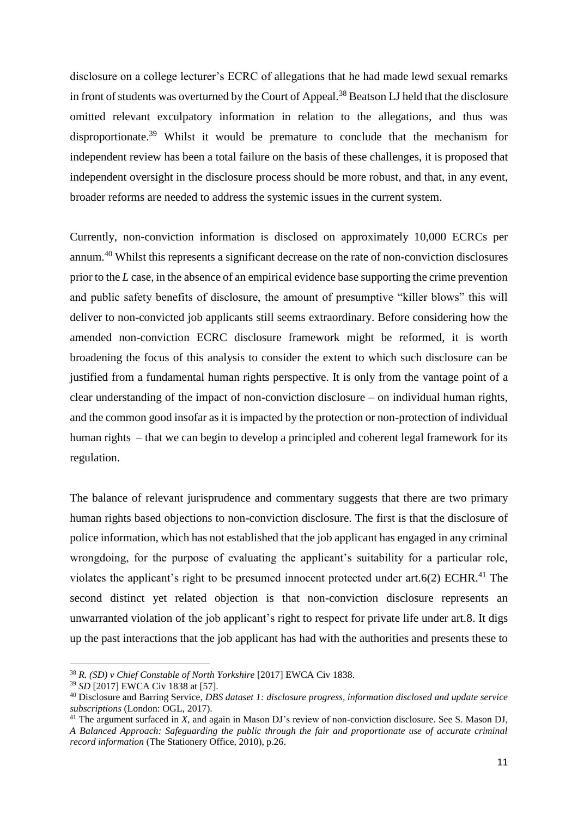disclosure on a college lecturer's ECRC of allegations that he had made lewd sexual remarks in front of students was overturned by the Court of Appeal.<sup>38</sup> Beatson LJ held that the disclosure omitted relevant exculpatory information in relation to the allegations, and thus was disproportionate.<sup>39</sup> Whilst it would be premature to conclude that the mechanism for independent review has been a total failure on the basis of these challenges, it is proposed that independent oversight in the disclosure process should be more robust, and that, in any event, broader reforms are needed to address the systemic issues in the current system.

Currently, non-conviction information is disclosed on approximately 10,000 ECRCs per annum.<sup>40</sup> Whilst this represents a significant decrease on the rate of non-conviction disclosures prior to the *L* case, in the absence of an empirical evidence base supporting the crime prevention and public safety benefits of disclosure, the amount of presumptive "killer blows" this will deliver to non-convicted job applicants still seems extraordinary. Before considering how the amended non-conviction ECRC disclosure framework might be reformed, it is worth broadening the focus of this analysis to consider the extent to which such disclosure can be justified from a fundamental human rights perspective. It is only from the vantage point of a clear understanding of the impact of non-conviction disclosure – on individual human rights, and the common good insofar as it is impacted by the protection or non-protection of individual human rights – that we can begin to develop a principled and coherent legal framework for its regulation.

The balance of relevant jurisprudence and commentary suggests that there are two primary human rights based objections to non-conviction disclosure. The first is that the disclosure of police information, which has not established that the job applicant has engaged in any criminal wrongdoing, for the purpose of evaluating the applicant's suitability for a particular role, violates the applicant's right to be presumed innocent protected under art.6(2) ECHR.<sup>41</sup> The second distinct yet related objection is that non-conviction disclosure represents an unwarranted violation of the job applicant's right to respect for private life under art.8. It digs up the past interactions that the job applicant has had with the authorities and presents these to

<sup>38</sup> *R. (SD) v Chief Constable of North Yorkshire* [2017] EWCA Civ 1838.

<sup>39</sup> *SD* [2017] EWCA Civ 1838 at [57].

<sup>40</sup> Disclosure and Barring Service, *DBS dataset 1: disclosure progress, information disclosed and update service subscriptions* (London: OGL, 2017).

<sup>&</sup>lt;sup>41</sup> The argument surfaced in *X*, and again in Mason DJ's review of non-conviction disclosure. See S. Mason DJ, *A Balanced Approach: Safeguarding the public through the fair and proportionate use of accurate criminal record information* (The Stationery Office, 2010), p.26.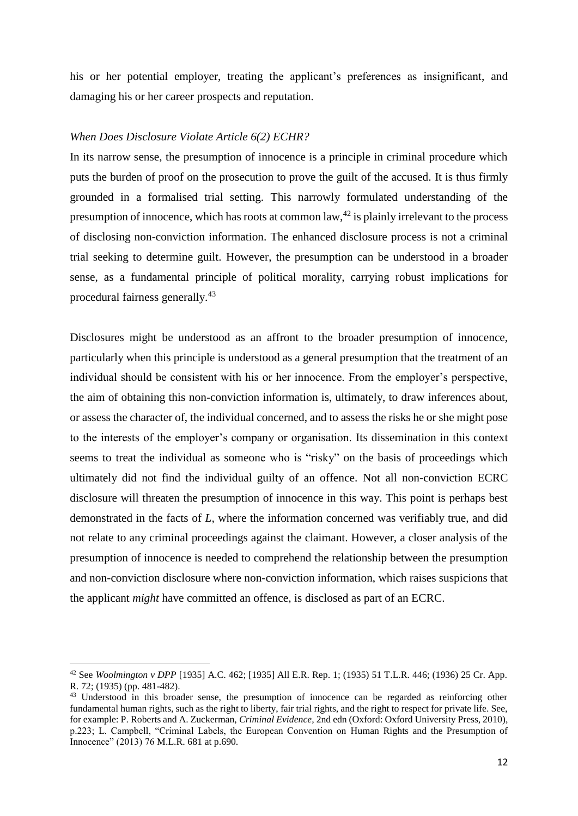his or her potential employer, treating the applicant's preferences as insignificant, and damaging his or her career prospects and reputation.

#### *When Does Disclosure Violate Article 6(2) ECHR?*

In its narrow sense, the presumption of innocence is a principle in criminal procedure which puts the burden of proof on the prosecution to prove the guilt of the accused. It is thus firmly grounded in a formalised trial setting. This narrowly formulated understanding of the presumption of innocence, which has roots at common law,  $42$  is plainly irrelevant to the process of disclosing non-conviction information. The enhanced disclosure process is not a criminal trial seeking to determine guilt. However, the presumption can be understood in a broader sense, as a fundamental principle of political morality, carrying robust implications for procedural fairness generally.<sup>43</sup>

Disclosures might be understood as an affront to the broader presumption of innocence, particularly when this principle is understood as a general presumption that the treatment of an individual should be consistent with his or her innocence. From the employer's perspective, the aim of obtaining this non-conviction information is, ultimately, to draw inferences about, or assess the character of, the individual concerned, and to assess the risks he or she might pose to the interests of the employer's company or organisation. Its dissemination in this context seems to treat the individual as someone who is "risky" on the basis of proceedings which ultimately did not find the individual guilty of an offence. Not all non-conviction ECRC disclosure will threaten the presumption of innocence in this way. This point is perhaps best demonstrated in the facts of *L,* where the information concerned was verifiably true, and did not relate to any criminal proceedings against the claimant. However, a closer analysis of the presumption of innocence is needed to comprehend the relationship between the presumption and non-conviction disclosure where non-conviction information, which raises suspicions that the applicant *might* have committed an offence, is disclosed as part of an ECRC.

<sup>42</sup> See *Woolmington v DPP* [1935] A.C. 462; [1935] All E.R. Rep. 1; (1935) 51 T.L.R. 446; (1936) 25 Cr. App. R. 72; (1935) (pp. 481-482).

<sup>&</sup>lt;sup>43</sup> Understood in this broader sense, the presumption of innocence can be regarded as reinforcing other fundamental human rights, such as the right to liberty, fair trial rights, and the right to respect for private life. See, for example: P. Roberts and A. Zuckerman, *Criminal Evidence,* 2nd edn (Oxford: Oxford University Press, 2010), p.223; L. Campbell, "Criminal Labels, the European Convention on Human Rights and the Presumption of Innocence" (2013) 76 M.L.R. 681 at p.690.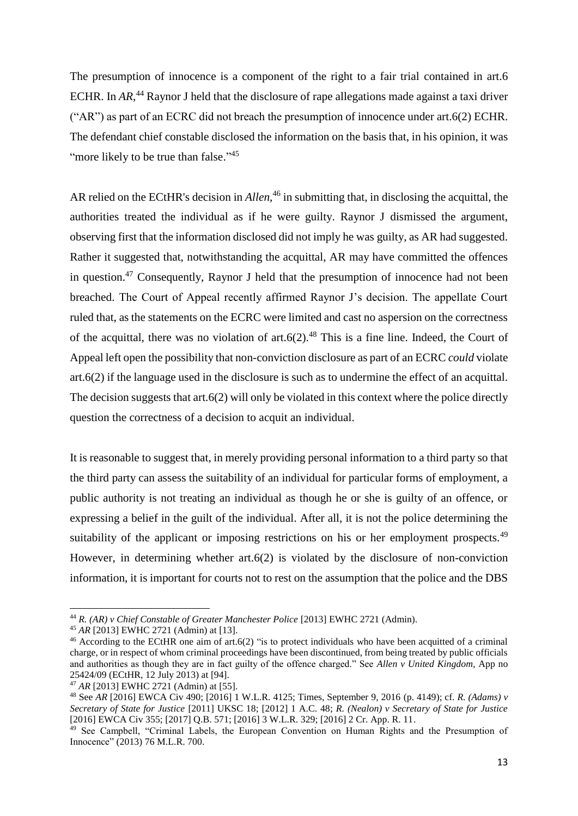The presumption of innocence is a component of the right to a fair trial contained in art.6 ECHR. In AR,<sup>44</sup> Raynor J held that the disclosure of rape allegations made against a taxi driver ("AR") as part of an ECRC did not breach the presumption of innocence under art.6(2) ECHR. The defendant chief constable disclosed the information on the basis that, in his opinion, it was "more likely to be true than false."<sup>45</sup>

AR relied on the ECtHR's decision in *Allen*, <sup>46</sup> in submitting that, in disclosing the acquittal, the authorities treated the individual as if he were guilty. Raynor J dismissed the argument, observing first that the information disclosed did not imply he was guilty, as AR had suggested. Rather it suggested that, notwithstanding the acquittal, AR may have committed the offences in question.<sup>47</sup> Consequently, Raynor J held that the presumption of innocence had not been breached. The Court of Appeal recently affirmed Raynor J's decision. The appellate Court ruled that, as the statements on the ECRC were limited and cast no aspersion on the correctness of the acquittal, there was no violation of art.6(2).<sup>48</sup> This is a fine line. Indeed, the Court of Appeal left open the possibility that non-conviction disclosure as part of an ECRC *could* violate art.6(2) if the language used in the disclosure is such as to undermine the effect of an acquittal. The decision suggests that art.6(2) will only be violated in this context where the police directly question the correctness of a decision to acquit an individual.

It is reasonable to suggest that, in merely providing personal information to a third party so that the third party can assess the suitability of an individual for particular forms of employment, a public authority is not treating an individual as though he or she is guilty of an offence, or expressing a belief in the guilt of the individual. After all, it is not the police determining the suitability of the applicant or imposing restrictions on his or her employment prospects.<sup>49</sup> However, in determining whether art.6(2) is violated by the disclosure of non-conviction information, it is important for courts not to rest on the assumption that the police and the DBS

1

<sup>44</sup> *R. (AR) v Chief Constable of Greater Manchester Police* [2013] EWHC 2721 (Admin).

<sup>45</sup> *AR* [2013] EWHC 2721 (Admin) at [13].

<sup>&</sup>lt;sup>46</sup> According to the ECtHR one aim of art.6(2) "is to protect individuals who have been acquitted of a criminal charge, or in respect of whom criminal proceedings have been discontinued, from being treated by public officials and authorities as though they are in fact guilty of the offence charged." See *Allen v United Kingdom,* App no 25424/09 (ECtHR, 12 July 2013) at [94].

<sup>47</sup> *AR* [2013] EWHC 2721 (Admin) at [55].

<sup>48</sup> See *AR* [2016] EWCA Civ 490; [2016] 1 W.L.R. 4125; Times, September 9, 2016 (p. 4149); cf. *R. (Adams) v Secretary of State for Justice* [2011] UKSC 18; [2012] 1 A.C. 48; *R. (Nealon) v Secretary of State for Justice* [2016] EWCA Civ 355; [2017] Q.B. 571; [2016] 3 W.L.R. 329; [2016] 2 Cr. App. R. 11.

<sup>&</sup>lt;sup>49</sup> See Campbell, "Criminal Labels, the European Convention on Human Rights and the Presumption of Innocence" (2013) 76 M.L.R. 700.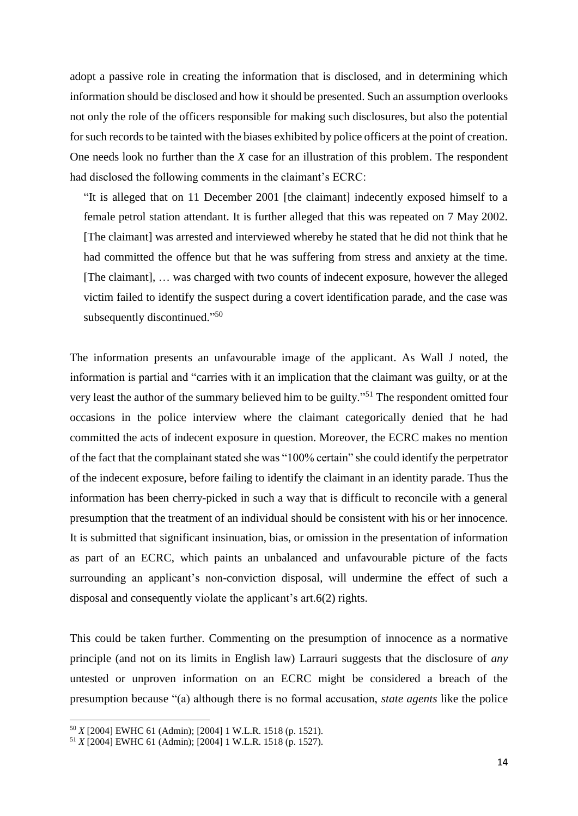adopt a passive role in creating the information that is disclosed, and in determining which information should be disclosed and how it should be presented. Such an assumption overlooks not only the role of the officers responsible for making such disclosures, but also the potential for such records to be tainted with the biases exhibited by police officers at the point of creation. One needs look no further than the *X* case for an illustration of this problem. The respondent had disclosed the following comments in the claimant's ECRC:

"It is alleged that on 11 December 2001 [the claimant] indecently exposed himself to a female petrol station attendant. It is further alleged that this was repeated on 7 May 2002. [The claimant] was arrested and interviewed whereby he stated that he did not think that he had committed the offence but that he was suffering from stress and anxiety at the time. [The claimant], … was charged with two counts of indecent exposure, however the alleged victim failed to identify the suspect during a covert identification parade, and the case was subsequently discontinued."<sup>50</sup>

The information presents an unfavourable image of the applicant. As Wall J noted, the information is partial and "carries with it an implication that the claimant was guilty, or at the very least the author of the summary believed him to be guilty."<sup>51</sup> The respondent omitted four occasions in the police interview where the claimant categorically denied that he had committed the acts of indecent exposure in question. Moreover, the ECRC makes no mention of the fact that the complainant stated she was "100% certain" she could identify the perpetrator of the indecent exposure, before failing to identify the claimant in an identity parade. Thus the information has been cherry-picked in such a way that is difficult to reconcile with a general presumption that the treatment of an individual should be consistent with his or her innocence. It is submitted that significant insinuation, bias, or omission in the presentation of information as part of an ECRC, which paints an unbalanced and unfavourable picture of the facts surrounding an applicant's non-conviction disposal, will undermine the effect of such a disposal and consequently violate the applicant's art.6(2) rights.

This could be taken further. Commenting on the presumption of innocence as a normative principle (and not on its limits in English law) Larrauri suggests that the disclosure of *any*  untested or unproven information on an ECRC might be considered a breach of the presumption because "(a) although there is no formal accusation, *state agents* like the police

<sup>50</sup> *X* [2004] EWHC 61 (Admin); [2004] 1 W.L.R. 1518 (p. 1521).

<sup>51</sup> *X* [2004] EWHC 61 (Admin); [2004] 1 W.L.R. 1518 (p. 1527).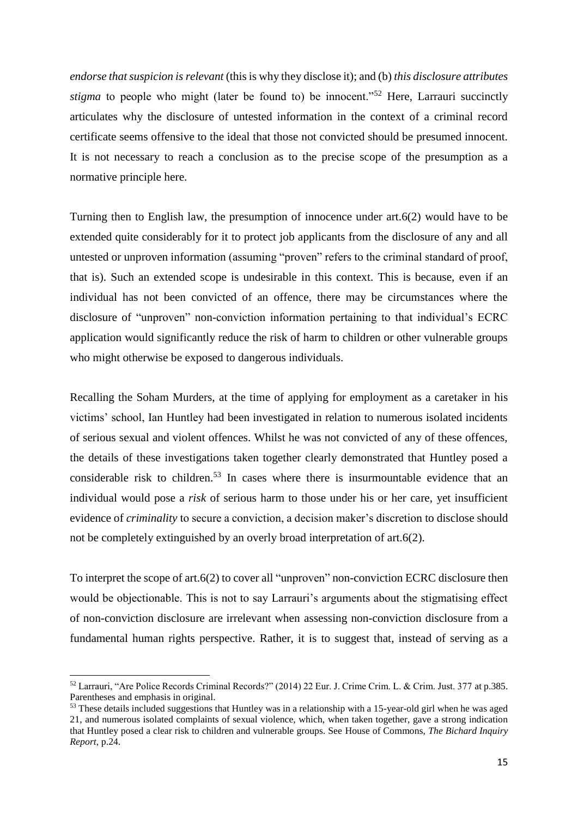*endorse that suspicion is relevant* (this is why they disclose it); and (b) *this disclosure attributes stigma* to people who might (later be found to) be innocent."<sup>52</sup> Here, Larrauri succinctly articulates why the disclosure of untested information in the context of a criminal record certificate seems offensive to the ideal that those not convicted should be presumed innocent. It is not necessary to reach a conclusion as to the precise scope of the presumption as a normative principle here.

Turning then to English law, the presumption of innocence under art.6(2) would have to be extended quite considerably for it to protect job applicants from the disclosure of any and all untested or unproven information (assuming "proven" refers to the criminal standard of proof, that is). Such an extended scope is undesirable in this context. This is because, even if an individual has not been convicted of an offence, there may be circumstances where the disclosure of "unproven" non-conviction information pertaining to that individual's ECRC application would significantly reduce the risk of harm to children or other vulnerable groups who might otherwise be exposed to dangerous individuals.

Recalling the Soham Murders, at the time of applying for employment as a caretaker in his victims' school, Ian Huntley had been investigated in relation to numerous isolated incidents of serious sexual and violent offences. Whilst he was not convicted of any of these offences, the details of these investigations taken together clearly demonstrated that Huntley posed a considerable risk to children. <sup>53</sup> In cases where there is insurmountable evidence that an individual would pose a *risk* of serious harm to those under his or her care, yet insufficient evidence of *criminality* to secure a conviction, a decision maker's discretion to disclose should not be completely extinguished by an overly broad interpretation of art.6(2).

To interpret the scope of art.6(2) to cover all "unproven" non-conviction ECRC disclosure then would be objectionable. This is not to say Larrauri's arguments about the stigmatising effect of non-conviction disclosure are irrelevant when assessing non-conviction disclosure from a fundamental human rights perspective. Rather, it is to suggest that, instead of serving as a

 $\overline{\phantom{a}}$ 

<sup>52</sup> Larrauri, "Are Police Records Criminal Records?" (2014) 22 Eur. J. Crime Crim. L. & Crim. Just. 377 at p.385. Parentheses and emphasis in original.

<sup>&</sup>lt;sup>53</sup> These details included suggestions that Huntley was in a relationship with a 15-year-old girl when he was aged 21, and numerous isolated complaints of sexual violence, which, when taken together, gave a strong indication that Huntley posed a clear risk to children and vulnerable groups. See House of Commons, *The Bichard Inquiry Report*, p.24.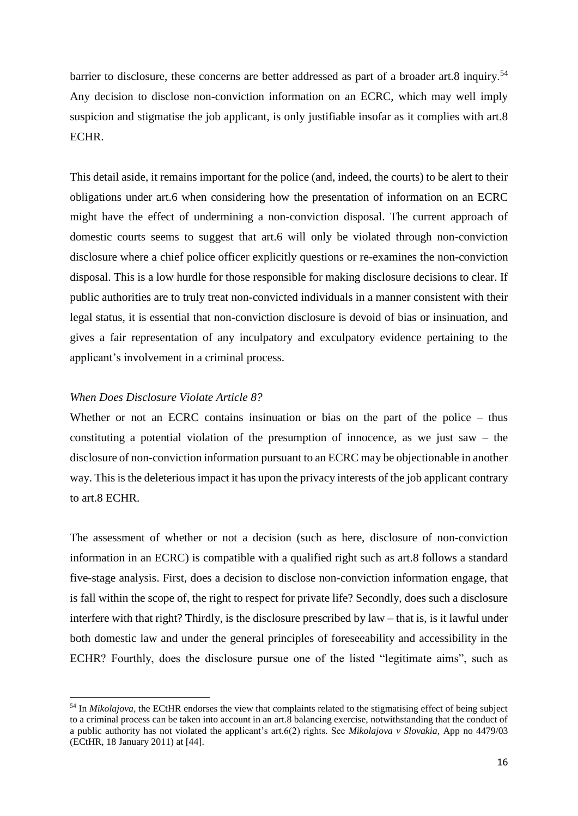barrier to disclosure, these concerns are better addressed as part of a broader art.8 inquiry.<sup>54</sup> Any decision to disclose non-conviction information on an ECRC, which may well imply suspicion and stigmatise the job applicant, is only justifiable insofar as it complies with art.8 **ECHR** 

This detail aside, it remains important for the police (and, indeed, the courts) to be alert to their obligations under art.6 when considering how the presentation of information on an ECRC might have the effect of undermining a non-conviction disposal. The current approach of domestic courts seems to suggest that art.6 will only be violated through non-conviction disclosure where a chief police officer explicitly questions or re-examines the non-conviction disposal. This is a low hurdle for those responsible for making disclosure decisions to clear. If public authorities are to truly treat non-convicted individuals in a manner consistent with their legal status, it is essential that non-conviction disclosure is devoid of bias or insinuation, and gives a fair representation of any inculpatory and exculpatory evidence pertaining to the applicant's involvement in a criminal process.

## *When Does Disclosure Violate Article 8?*

**.** 

Whether or not an ECRC contains insinuation or bias on the part of the police – thus constituting a potential violation of the presumption of innocence, as we just saw – the disclosure of non-conviction information pursuant to an ECRC may be objectionable in another way. This is the deleterious impact it has upon the privacy interests of the job applicant contrary to art.8 ECHR.

The assessment of whether or not a decision (such as here, disclosure of non-conviction information in an ECRC) is compatible with a qualified right such as art.8 follows a standard five-stage analysis. First, does a decision to disclose non-conviction information engage, that is fall within the scope of, the right to respect for private life? Secondly, does such a disclosure interfere with that right? Thirdly, is the disclosure prescribed by law – that is, is it lawful under both domestic law and under the general principles of foreseeability and accessibility in the ECHR? Fourthly, does the disclosure pursue one of the listed "legitimate aims", such as

<sup>54</sup> In *Mikolajova,* the ECtHR endorses the view that complaints related to the stigmatising effect of being subject to a criminal process can be taken into account in an art.8 balancing exercise, notwithstanding that the conduct of a public authority has not violated the applicant's art.6(2) rights. See *Mikolajova v Slovakia*, App no 4479/03 (ECtHR, 18 January 2011) at [44].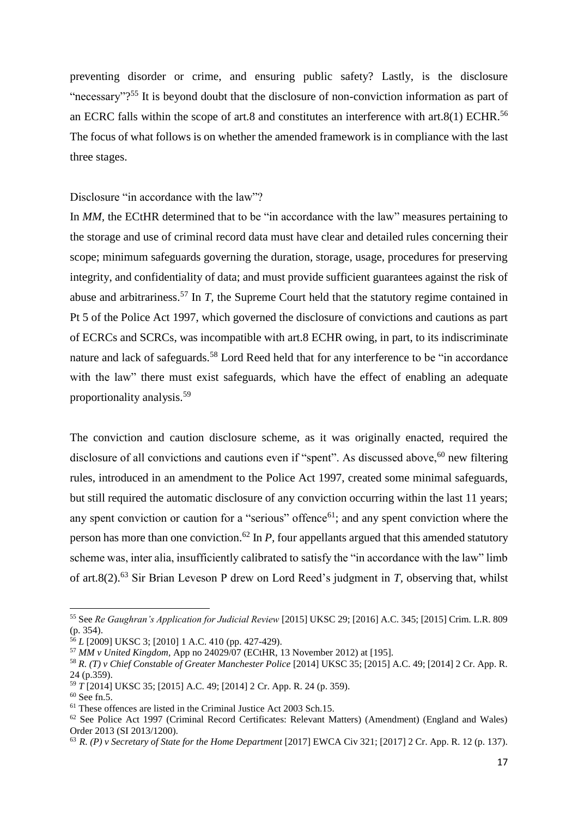preventing disorder or crime, and ensuring public safety? Lastly, is the disclosure "necessary"?<sup>55</sup> It is beyond doubt that the disclosure of non-conviction information as part of an ECRC falls within the scope of art.8 and constitutes an interference with art.8(1) ECHR.<sup>56</sup> The focus of what follows is on whether the amended framework is in compliance with the last three stages.

Disclosure "in accordance with the law"?

In *MM*, the ECtHR determined that to be "in accordance with the law" measures pertaining to the storage and use of criminal record data must have clear and detailed rules concerning their scope; minimum safeguards governing the duration, storage, usage, procedures for preserving integrity, and confidentiality of data; and must provide sufficient guarantees against the risk of abuse and arbitrariness.<sup>57</sup> In *T,* the Supreme Court held that the statutory regime contained in Pt 5 of the Police Act 1997, which governed the disclosure of convictions and cautions as part of ECRCs and SCRCs, was incompatible with art.8 ECHR owing, in part, to its indiscriminate nature and lack of safeguards.<sup>58</sup> Lord Reed held that for any interference to be "in accordance" with the law" there must exist safeguards, which have the effect of enabling an adequate proportionality analysis.<sup>59</sup>

The conviction and caution disclosure scheme, as it was originally enacted, required the disclosure of all convictions and cautions even if "spent". As discussed above,<sup>60</sup> new filtering rules, introduced in an amendment to the Police Act 1997, created some minimal safeguards, but still required the automatic disclosure of any conviction occurring within the last 11 years; any spent conviction or caution for a "serious" offence<sup>61</sup>; and any spent conviction where the person has more than one conviction.<sup>62</sup> In  $P$ , four appellants argued that this amended statutory scheme was, inter alia, insufficiently calibrated to satisfy the "in accordance with the law" limb of art.8(2).<sup>63</sup> Sir Brian Leveson P drew on Lord Reed's judgment in *T,* observing that, whilst

1

<sup>55</sup> See *Re Gaughran's Application for Judicial Review* [2015] UKSC 29; [2016] A.C. 345; [2015] Crim. L.R. 809 (p. 354).

<sup>56</sup> *L* [2009] UKSC 3; [2010] 1 A.C. 410 (pp. 427-429).

<sup>57</sup> *MM v United Kingdom,* App no 24029/07 (ECtHR, 13 November 2012) at [195].

<sup>58</sup> *R. (T) v Chief Constable of Greater Manchester Police* [2014] UKSC 35; [2015] A.C. 49; [2014] 2 Cr. App. R. 24 (p.359).

<sup>59</sup> *T* [2014] UKSC 35; [2015] A.C. 49; [2014] 2 Cr. App. R. 24 (p. 359).

 $60$  See fn.5.

 $61$  These offences are listed in the Criminal Justice Act 2003 Sch.15.

<sup>62</sup> See Police Act 1997 (Criminal Record Certificates: Relevant Matters) (Amendment) (England and Wales) Order 2013 (SI 2013/1200).

<sup>&</sup>lt;sup>63</sup> *R. (P) v Secretary of State for the Home Department* [2017] EWCA Civ 321; [2017] 2 Cr. App. R. 12 (p. 137).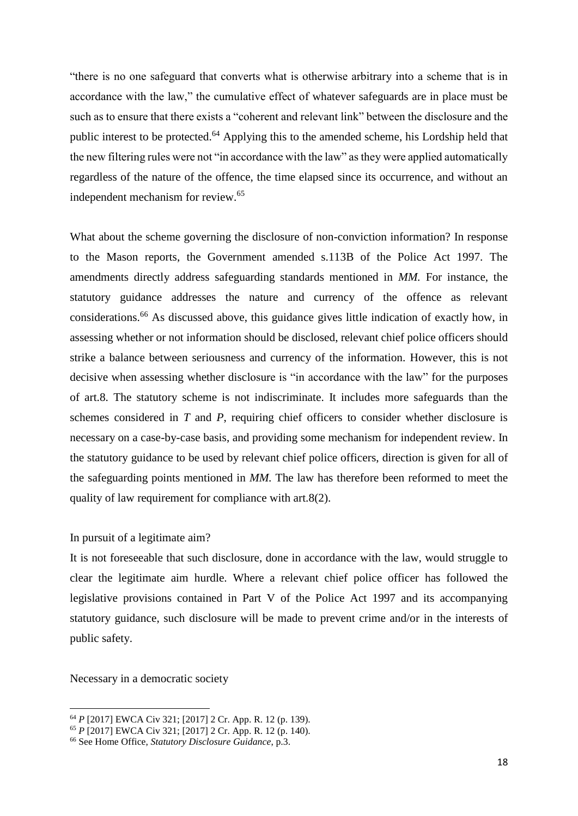"there is no one safeguard that converts what is otherwise arbitrary into a scheme that is in accordance with the law," the cumulative effect of whatever safeguards are in place must be such as to ensure that there exists a "coherent and relevant link" between the disclosure and the public interest to be protected.<sup>64</sup> Applying this to the amended scheme, his Lordship held that the new filtering rules were not "in accordance with the law" as they were applied automatically regardless of the nature of the offence, the time elapsed since its occurrence, and without an independent mechanism for review.<sup>65</sup>

What about the scheme governing the disclosure of non-conviction information? In response to the Mason reports, the Government amended s.113B of the Police Act 1997. The amendments directly address safeguarding standards mentioned in *MM.* For instance, the statutory guidance addresses the nature and currency of the offence as relevant considerations. <sup>66</sup> As discussed above, this guidance gives little indication of exactly how, in assessing whether or not information should be disclosed, relevant chief police officers should strike a balance between seriousness and currency of the information. However, this is not decisive when assessing whether disclosure is "in accordance with the law" for the purposes of art.8. The statutory scheme is not indiscriminate. It includes more safeguards than the schemes considered in *T* and *P*, requiring chief officers to consider whether disclosure is necessary on a case-by-case basis, and providing some mechanism for independent review. In the statutory guidance to be used by relevant chief police officers, direction is given for all of the safeguarding points mentioned in *MM.* The law has therefore been reformed to meet the quality of law requirement for compliance with art.8(2).

#### In pursuit of a legitimate aim?

It is not foreseeable that such disclosure, done in accordance with the law, would struggle to clear the legitimate aim hurdle. Where a relevant chief police officer has followed the legislative provisions contained in Part V of the Police Act 1997 and its accompanying statutory guidance, such disclosure will be made to prevent crime and/or in the interests of public safety.

Necessary in a democratic society

<sup>64</sup> *P* [2017] EWCA Civ 321; [2017] 2 Cr. App. R. 12 (p. 139).

<sup>65</sup> *P* [2017] EWCA Civ 321; [2017] 2 Cr. App. R. 12 (p. 140).

<sup>66</sup> See Home Office, *Statutory Disclosure Guidance*, p.3.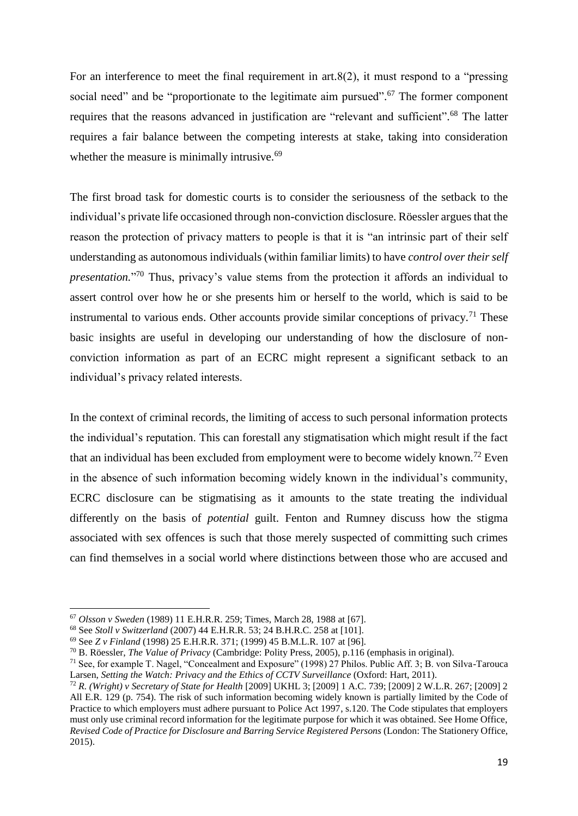For an interference to meet the final requirement in art. $8(2)$ , it must respond to a "pressing" social need" and be "proportionate to the legitimate aim pursued". $67$  The former component requires that the reasons advanced in justification are "relevant and sufficient".<sup>68</sup> The latter requires a fair balance between the competing interests at stake, taking into consideration whether the measure is minimally intrusive.<sup>69</sup>

The first broad task for domestic courts is to consider the seriousness of the setback to the individual's private life occasioned through non-conviction disclosure. Röessler argues that the reason the protection of privacy matters to people is that it is "an intrinsic part of their self understanding as autonomous individuals (within familiar limits) to have *control over their self presentation.*" <sup>70</sup> Thus, privacy's value stems from the protection it affords an individual to assert control over how he or she presents him or herself to the world, which is said to be instrumental to various ends. Other accounts provide similar conceptions of privacy.<sup>71</sup> These basic insights are useful in developing our understanding of how the disclosure of nonconviction information as part of an ECRC might represent a significant setback to an individual's privacy related interests.

In the context of criminal records, the limiting of access to such personal information protects the individual's reputation. This can forestall any stigmatisation which might result if the fact that an individual has been excluded from employment were to become widely known.<sup>72</sup> Even in the absence of such information becoming widely known in the individual's community, ECRC disclosure can be stigmatising as it amounts to the state treating the individual differently on the basis of *potential* guilt. Fenton and Rumney discuss how the stigma associated with sex offences is such that those merely suspected of committing such crimes can find themselves in a social world where distinctions between those who are accused and

1

<sup>67</sup> *Olsson v Sweden* (1989) 11 E.H.R.R. 259; Times, March 28, 1988 at [67].

<sup>68</sup> See *Stoll v Switzerland* (2007) 44 E.H.R.R. 53; 24 B.H.R.C. 258 at [101].

<sup>69</sup> See *Z v Finland* (1998) 25 E.H.R.R. 371; (1999) 45 B.M.L.R. 107 at [96].

<sup>70</sup> B. Röessler, *The Value of Privacy* (Cambridge: Polity Press, 2005), p.116 (emphasis in original).

<sup>71</sup> See, for example T. Nagel, "Concealment and Exposure" (1998) 27 Philos. Public Aff. 3; B. von Silva-Tarouca Larsen, *Setting the Watch: Privacy and the Ethics of CCTV Surveillance* (Oxford: Hart, 2011).

<sup>72</sup> *R. (Wright) v Secretary of State for Health* [2009] UKHL 3; [2009] 1 A.C. 739; [2009] 2 W.L.R. 267; [2009] 2 All E.R. 129 (p. 754). The risk of such information becoming widely known is partially limited by the Code of Practice to which employers must adhere pursuant to Police Act 1997, s.120. The Code stipulates that employers must only use criminal record information for the legitimate purpose for which it was obtained. See Home Office, *Revised Code of Practice for Disclosure and Barring Service Registered Persons* (London: The Stationery Office, 2015).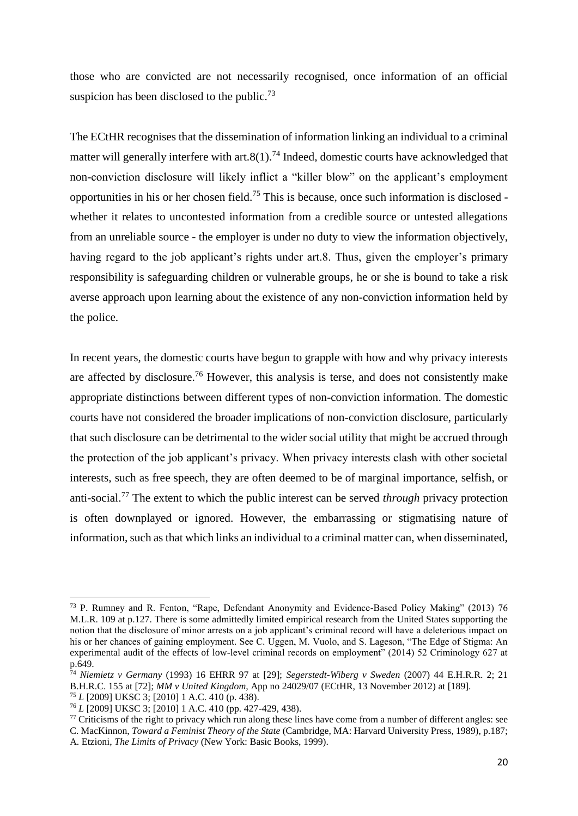those who are convicted are not necessarily recognised, once information of an official suspicion has been disclosed to the public.<sup>73</sup>

The ECtHR recognises that the dissemination of information linking an individual to a criminal matter will generally interfere with art. $8(1)$ .<sup>74</sup> Indeed, domestic courts have acknowledged that non-conviction disclosure will likely inflict a "killer blow" on the applicant's employment opportunities in his or her chosen field. <sup>75</sup> This is because, once such information is disclosed whether it relates to uncontested information from a credible source or untested allegations from an unreliable source - the employer is under no duty to view the information objectively, having regard to the job applicant's rights under art.8. Thus, given the employer's primary responsibility is safeguarding children or vulnerable groups, he or she is bound to take a risk averse approach upon learning about the existence of any non-conviction information held by the police.

In recent years, the domestic courts have begun to grapple with how and why privacy interests are affected by disclosure.<sup>76</sup> However, this analysis is terse, and does not consistently make appropriate distinctions between different types of non-conviction information. The domestic courts have not considered the broader implications of non-conviction disclosure, particularly that such disclosure can be detrimental to the wider social utility that might be accrued through the protection of the job applicant's privacy. When privacy interests clash with other societal interests, such as free speech, they are often deemed to be of marginal importance, selfish, or anti-social.<sup>77</sup> The extent to which the public interest can be served *through* privacy protection is often downplayed or ignored. However, the embarrassing or stigmatising nature of information, such as that which links an individual to a criminal matter can, when disseminated,

<sup>73</sup> P. Rumney and R. Fenton, "Rape, Defendant Anonymity and Evidence-Based Policy Making" (2013) 76 M.L.R. 109 at p.127. There is some admittedly limited empirical research from the United States supporting the notion that the disclosure of minor arrests on a job applicant's criminal record will have a deleterious impact on his or her chances of gaining employment. See C. Uggen, M. Vuolo, and S. Lageson, "The Edge of Stigma: An experimental audit of the effects of low-level criminal records on employment" (2014) 52 Criminology 627 at p.649.

<sup>74</sup> *Niemietz v Germany* (1993) 16 EHRR 97 at [29]; *Segerstedt-Wiberg v Sweden* (2007) 44 E.H.R.R. 2; 21 B.H.R.C. 155 at [72]; *MM v United Kingdom,* App no 24029/07 (ECtHR, 13 November 2012) at [189].

<sup>75</sup> *L* [2009] UKSC 3; [2010] 1 A.C. 410 (p. 438).

<sup>76</sup> *L* [2009] UKSC 3; [2010] 1 A.C. 410 (pp. 427-429, 438).

 $77$  Criticisms of the right to privacy which run along these lines have come from a number of different angles: see C. MacKinnon, *Toward a Feminist Theory of the State* (Cambridge, MA: Harvard University Press, 1989), p.187; A. Etzioni, *The Limits of Privacy* (New York: Basic Books, 1999).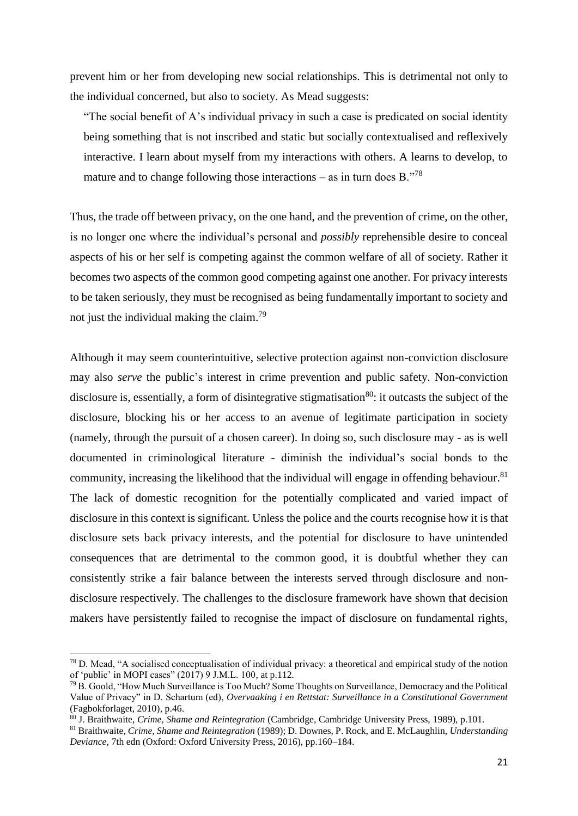prevent him or her from developing new social relationships. This is detrimental not only to the individual concerned, but also to society. As Mead suggests:

"The social benefit of A's individual privacy in such a case is predicated on social identity being something that is not inscribed and static but socially contextualised and reflexively interactive. I learn about myself from my interactions with others. A learns to develop, to mature and to change following those interactions – as in turn does  $B.^{378}$ 

Thus, the trade off between privacy, on the one hand, and the prevention of crime, on the other, is no longer one where the individual's personal and *possibly* reprehensible desire to conceal aspects of his or her self is competing against the common welfare of all of society. Rather it becomes two aspects of the common good competing against one another. For privacy interests to be taken seriously, they must be recognised as being fundamentally important to society and not just the individual making the claim.<sup>79</sup>

Although it may seem counterintuitive, selective protection against non-conviction disclosure may also *serve* the public's interest in crime prevention and public safety. Non-conviction disclosure is, essentially, a form of disintegrative stigmatisation<sup>80</sup>: it outcasts the subject of the disclosure, blocking his or her access to an avenue of legitimate participation in society (namely, through the pursuit of a chosen career). In doing so, such disclosure may - as is well documented in criminological literature - diminish the individual's social bonds to the community, increasing the likelihood that the individual will engage in offending behaviour.<sup>81</sup> The lack of domestic recognition for the potentially complicated and varied impact of disclosure in this context is significant. Unless the police and the courts recognise how it is that disclosure sets back privacy interests, and the potential for disclosure to have unintended consequences that are detrimental to the common good, it is doubtful whether they can consistently strike a fair balance between the interests served through disclosure and nondisclosure respectively. The challenges to the disclosure framework have shown that decision makers have persistently failed to recognise the impact of disclosure on fundamental rights,

<sup>78</sup> D. Mead, "A socialised conceptualisation of individual privacy: a theoretical and empirical study of the notion of 'public' in MOPI cases" (2017) 9 J.M.L. 100*,* at p.112*.*

 $^{79}$  B. Goold, "How Much Surveillance is Too Much? Some Thoughts on Surveillance, Democracy and the Political Value of Privacy" in D. Schartum (ed), *Overvaaking i en Rettstat: Surveillance in a Constitutional Government*  (Fagbokforlaget, 2010)*,* p.46.

<sup>80</sup> J. Braithwaite, *Crime, Shame and Reintegration* (Cambridge, Cambridge University Press, 1989), p.101.

<sup>81</sup> Braithwaite, *Crime, Shame and Reintegration* (1989); D. Downes, P. Rock, and E. McLaughlin, *Understanding Deviance,* 7th edn (Oxford: Oxford University Press, 2016), pp.160–184.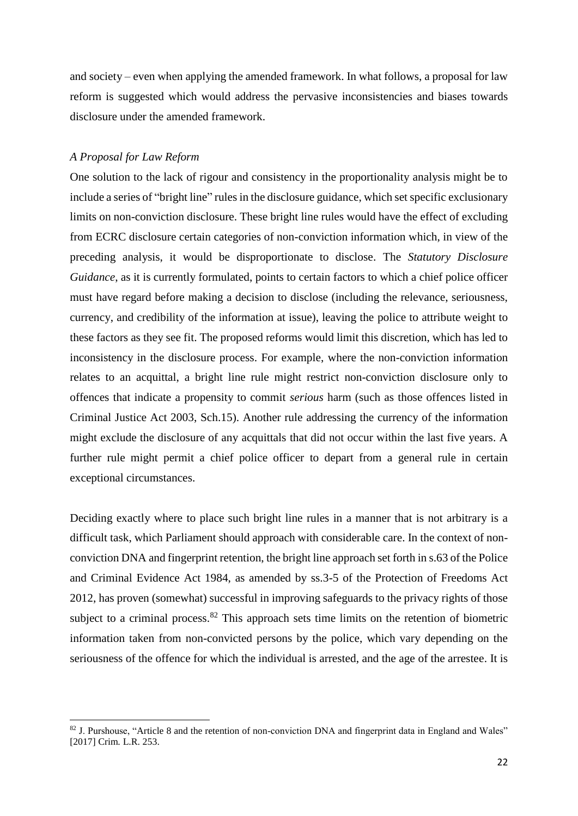and society – even when applying the amended framework. In what follows, a proposal for law reform is suggested which would address the pervasive inconsistencies and biases towards disclosure under the amended framework.

#### *A Proposal for Law Reform*

**.** 

One solution to the lack of rigour and consistency in the proportionality analysis might be to include a series of "bright line" rules in the disclosure guidance, which set specific exclusionary limits on non-conviction disclosure. These bright line rules would have the effect of excluding from ECRC disclosure certain categories of non-conviction information which, in view of the preceding analysis, it would be disproportionate to disclose. The *Statutory Disclosure Guidance*, as it is currently formulated, points to certain factors to which a chief police officer must have regard before making a decision to disclose (including the relevance, seriousness, currency, and credibility of the information at issue), leaving the police to attribute weight to these factors as they see fit. The proposed reforms would limit this discretion, which has led to inconsistency in the disclosure process. For example, where the non-conviction information relates to an acquittal, a bright line rule might restrict non-conviction disclosure only to offences that indicate a propensity to commit *serious* harm (such as those offences listed in Criminal Justice Act 2003, Sch.15). Another rule addressing the currency of the information might exclude the disclosure of any acquittals that did not occur within the last five years. A further rule might permit a chief police officer to depart from a general rule in certain exceptional circumstances.

Deciding exactly where to place such bright line rules in a manner that is not arbitrary is a difficult task, which Parliament should approach with considerable care. In the context of nonconviction DNA and fingerprint retention, the bright line approach set forth in s.63 of the Police and Criminal Evidence Act 1984, as amended by ss.3-5 of the Protection of Freedoms Act 2012, has proven (somewhat) successful in improving safeguards to the privacy rights of those subject to a criminal process.  $82$  This approach sets time limits on the retention of biometric information taken from non-convicted persons by the police, which vary depending on the seriousness of the offence for which the individual is arrested, and the age of the arrestee. It is

<sup>&</sup>lt;sup>82</sup> J. Purshouse, "Article 8 and the retention of non-conviction DNA and fingerprint data in England and Wales" [2017] Crim. L.R. 253.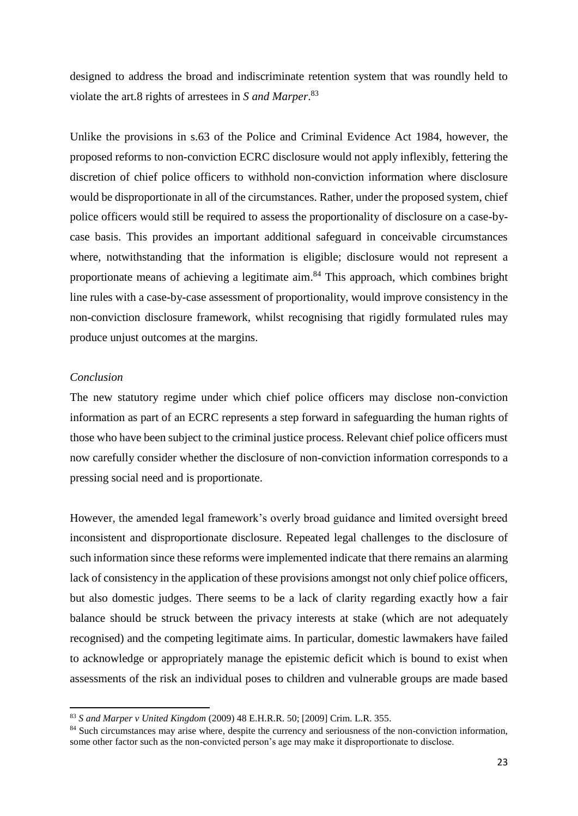designed to address the broad and indiscriminate retention system that was roundly held to violate the art.8 rights of arrestees in *S and Marper*. 83

Unlike the provisions in s.63 of the Police and Criminal Evidence Act 1984, however, the proposed reforms to non-conviction ECRC disclosure would not apply inflexibly, fettering the discretion of chief police officers to withhold non-conviction information where disclosure would be disproportionate in all of the circumstances. Rather, under the proposed system, chief police officers would still be required to assess the proportionality of disclosure on a case-bycase basis. This provides an important additional safeguard in conceivable circumstances where, notwithstanding that the information is eligible; disclosure would not represent a proportionate means of achieving a legitimate aim.<sup>84</sup> This approach, which combines bright line rules with a case-by-case assessment of proportionality, would improve consistency in the non-conviction disclosure framework, whilst recognising that rigidly formulated rules may produce unjust outcomes at the margins.

## *Conclusion*

1

The new statutory regime under which chief police officers may disclose non-conviction information as part of an ECRC represents a step forward in safeguarding the human rights of those who have been subject to the criminal justice process. Relevant chief police officers must now carefully consider whether the disclosure of non-conviction information corresponds to a pressing social need and is proportionate.

However, the amended legal framework's overly broad guidance and limited oversight breed inconsistent and disproportionate disclosure. Repeated legal challenges to the disclosure of such information since these reforms were implemented indicate that there remains an alarming lack of consistency in the application of these provisions amongst not only chief police officers, but also domestic judges. There seems to be a lack of clarity regarding exactly how a fair balance should be struck between the privacy interests at stake (which are not adequately recognised) and the competing legitimate aims. In particular, domestic lawmakers have failed to acknowledge or appropriately manage the epistemic deficit which is bound to exist when assessments of the risk an individual poses to children and vulnerable groups are made based

<sup>83</sup> *S and Marper v United Kingdom* (2009) 48 E.H.R.R. 50; [2009] Crim. L.R. 355*.*

<sup>&</sup>lt;sup>84</sup> Such circumstances may arise where, despite the currency and seriousness of the non-conviction information, some other factor such as the non-convicted person's age may make it disproportionate to disclose.